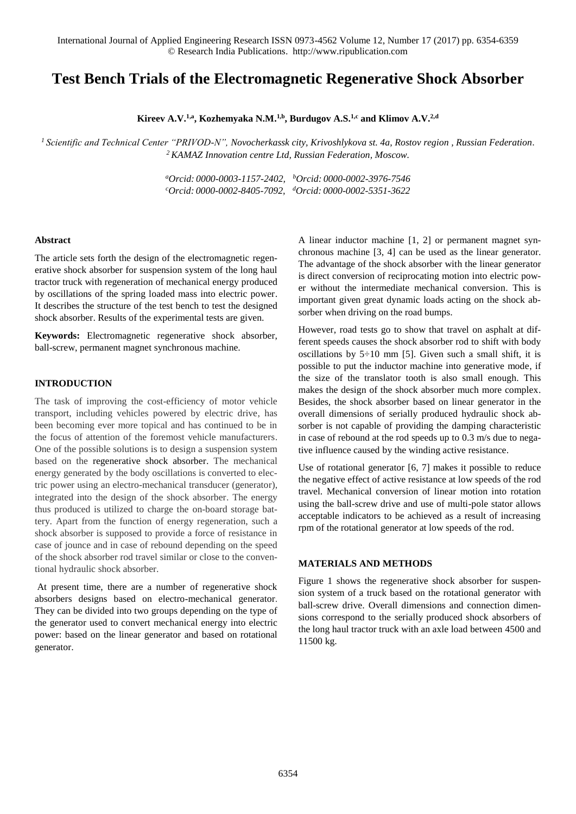# **Test Bench Trials of the Electromagnetic Regenerative Shock Absorber**

**Kireev A.V. 1,a , Kozhemyaka N.M. 1,b , Burdugov A.S. 1,c and Klimov A.V. 2,d**

*<sup>1</sup> Scientific and Technical Center "PRIVOD-N", Novocherkassk city, Krivoshlykova st. 4a, Rostov region , Russian Federation*. *<sup>2</sup>KAMAZ Innovation centre Ltd, Russian Federation, Moscow.*

> *<sup>a</sup>Orcid: 0000-0003-1157-2402, <sup>b</sup>Orcid: 0000-0002-3976-7546 <sup>c</sup>Orcid: 0000-0002-8405-7092, <sup>d</sup>Orcid: 0000-0002-5351-3622*

#### **Abstract**

The article sets forth the design of the electromagnetic regenerative shock absorber for suspension system of the long haul tractor truck with regeneration of mechanical energy produced by oscillations of the spring loaded mass into electric power. It describes the structure of the test bench to test the designed shock absorber. Results of the experimental tests are given.

**Keywords:** Electromagnetic regenerative shock absorber, ball-screw, permanent magnet synchronous machine.

## **INTRODUCTION**

The task of improving the cost-efficiency of motor vehicle transport, including vehicles powered by electric drive, has been becoming ever more topical and has continued to be in the focus of attention of the foremost vehicle manufacturers. One of the possible solutions is to design a suspension system based on the regenerative shock absorber. The mechanical energy generated by the body oscillations is converted to electric power using an electro-mechanical transducer (generator), integrated into the design of the shock absorber. The energy thus produced is utilized to charge the on-board storage battery. Apart from the function of energy regeneration, such a shock absorber is supposed to provide a force of resistance in case of jounce and in case of rebound depending on the speed of the shock absorber rod travel similar or close to the conventional hydraulic shock absorber.

At present time, there are a number of regenerative shock absorbers designs based on electro-mechanical generator. They can be divided into two groups depending on the type of the generator used to convert mechanical energy into electric power: based on the linear generator and based on rotational generator.

A linear inductor machine [1, 2] or permanent magnet synchronous machine [3, 4] can be used as the linear generator. The advantage of the shock absorber with the linear generator is direct conversion of reciprocating motion into electric power without the intermediate mechanical conversion. This is important given great dynamic loads acting on the shock absorber when driving on the road bumps.

However, road tests go to show that travel on asphalt at different speeds causes the shock absorber rod to shift with body oscillations by  $5\div 10$  mm [5]. Given such a small shift, it is possible to put the inductor machine into generative mode, if the size of the translator tooth is also small enough. This makes the design of the shock absorber much more complex. Besides, the shock absorber based on linear generator in the overall dimensions of serially produced hydraulic shock absorber is not capable of providing the damping characteristic in case of rebound at the rod speeds up to 0.3 m/s due to negative influence caused by the winding active resistance.

Use of rotational generator [6, 7] makes it possible to reduce the negative effect of active resistance at low speeds of the rod travel. Mechanical conversion of linear motion into rotation using the ball-screw drive and use of multi-pole stator allows acceptable indicators to be achieved as a result of increasing rpm of the rotational generator at low speeds of the rod.

#### **MATERIALS AND METHODS**

Figure 1 shows the regenerative shock absorber for suspension system of a truck based on the rotational generator with ball-screw drive. Overall dimensions and connection dimensions correspond to the serially produced shock absorbers of the long haul tractor truck with an axle load between 4500 and 11500 kg.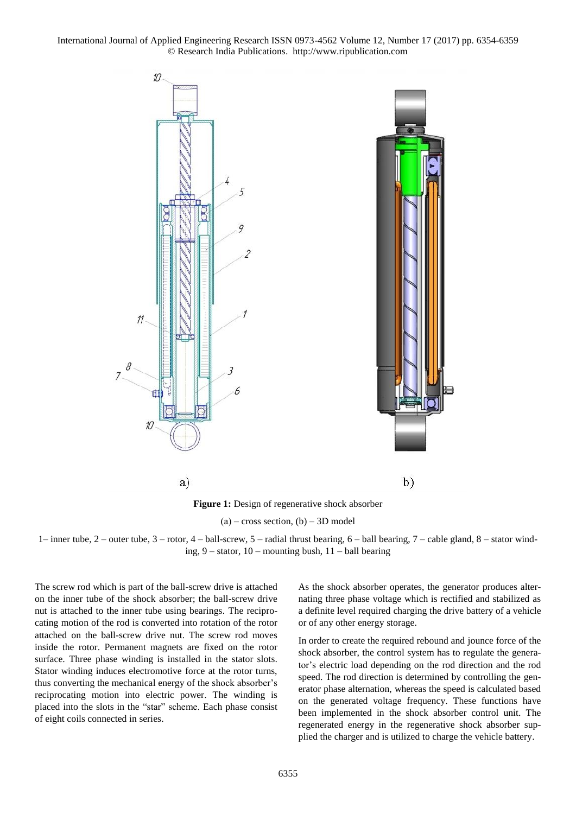International Journal of Applied Engineering Research ISSN 0973-4562 Volume 12, Number 17 (2017) pp. 6354-6359 © Research India Publications. http://www.ripublication.com



 $(a)$  – cross section,  $(b)$  – 3D model

1– inner tube, 2 – outer tube, 3 – rotor, 4 – ball-screw, 5 – radial thrust bearing, 6 – ball bearing, 7 – cable gland, 8 – stator winding, 9 – stator, 10 – mounting bush, 11 – ball bearing

The screw rod which is part of the ball-screw drive is attached on the inner tube of the shock absorber; the ball-screw drive nut is attached to the inner tube using bearings. The reciprocating motion of the rod is converted into rotation of the rotor attached on the ball-screw drive nut. The screw rod moves inside the rotor. Permanent magnets are fixed on the rotor surface. Three phase winding is installed in the stator slots. Stator winding induces electromotive force at the rotor turns, thus converting the mechanical energy of the shock absorber's reciprocating motion into electric power. The winding is placed into the slots in the "star" scheme. Each phase consist of eight coils connected in series.

As the shock absorber operates, the generator produces alternating three phase voltage which is rectified and stabilized as a definite level required charging the drive battery of a vehicle or of any other energy storage.

In order to create the required rebound and jounce force of the shock absorber, the control system has to regulate the generator's electric load depending on the rod direction and the rod speed. The rod direction is determined by controlling the generator phase alternation, whereas the speed is calculated based on the generated voltage frequency. These functions have been implemented in the shock absorber control unit. The regenerated energy in the regenerative shock absorber supplied the charger and is utilized to charge the vehicle battery.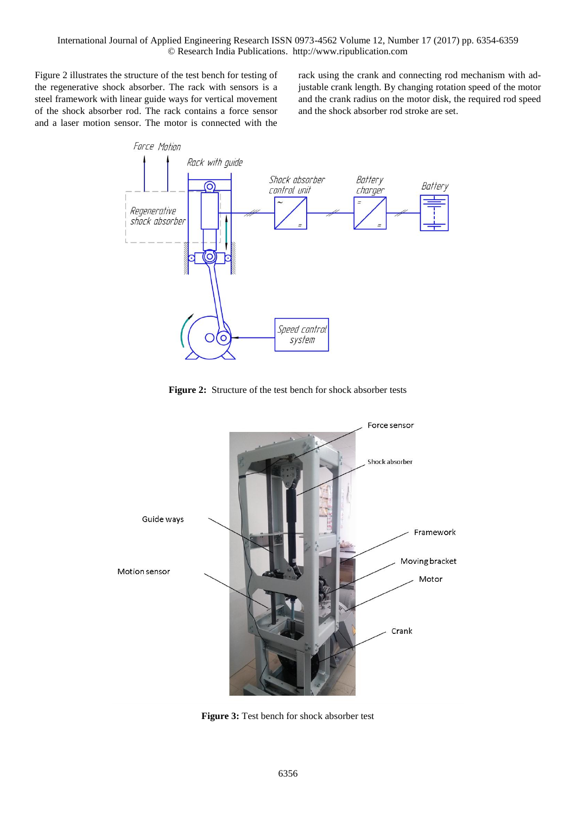Figure 2 illustrates the structure of the test bench for testing of the regenerative shock absorber. The rack with sensors is a steel framework with linear guide ways for vertical movement of the shock absorber rod. The rack contains a force sensor and a laser motion sensor. The motor is connected with the rack using the crank and connecting rod mechanism with adjustable crank length. By changing rotation speed of the motor and the crank radius on the motor disk, the required rod speed and the shock absorber rod stroke are set.



**Figure 2:** Structure of the test bench for shock absorber tests



**Figure 3:** Test bench for shock absorber test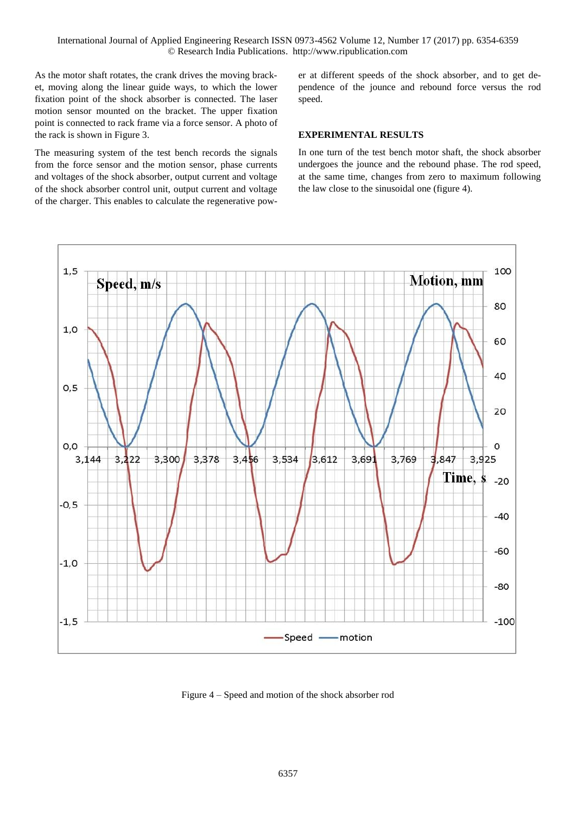As the motor shaft rotates, the crank drives the moving bracket, moving along the linear guide ways, to which the lower fixation point of the shock absorber is connected. The laser motion sensor mounted on the bracket. The upper fixation point is connected to rack frame via a force sensor. A photo of the rack is shown in Figure 3.

The measuring system of the test bench records the signals from the force sensor and the motion sensor, phase currents and voltages of the shock absorber, output current and voltage of the shock absorber control unit, output current and voltage of the charger. This enables to calculate the regenerative power at different speeds of the shock absorber, and to get dependence of the jounce and rebound force versus the rod speed.

## **EXPERIMENTAL RESULTS**

In one turn of the test bench motor shaft, the shock absorber undergoes the jounce and the rebound phase. The rod speed, at the same time, changes from zero to maximum following the law close to the sinusoidal one (figure 4).



Figure 4 – Speed and motion of the shock absorber rod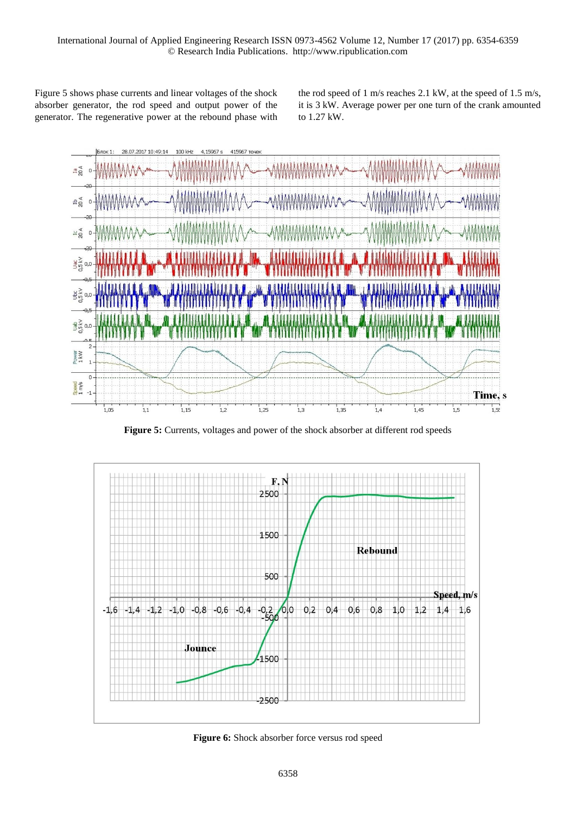Figure 5 shows phase currents and linear voltages of the shock absorber generator, the rod speed and output power of the generator. The regenerative power at the rebound phase with the rod speed of 1 m/s reaches 2.1 kW, at the speed of 1.5 m/s, it is 3 kW. Average power per one turn of the crank amounted to 1.27 kW.



**Figure 5:** Currents, voltages and power of the shock absorber at different rod speeds



**Figure 6:** Shock absorber force versus rod speed